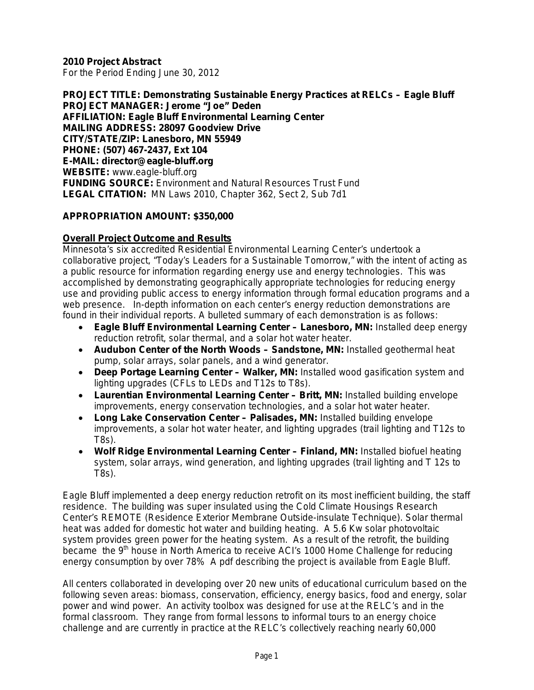**2010 Project Abstract** 

For the Period Ending June 30, 2012

**PROJECT TITLE: Demonstrating Sustainable Energy Practices at RELCs – Eagle Bluff PROJECT MANAGER: Jerome "Joe" Deden AFFILIATION: Eagle Bluff Environmental Learning Center MAILING ADDRESS: 28097 Goodview Drive CITY/STATE/ZIP: Lanesboro, MN 55949 PHONE: (507) 467-2437, Ext 104 E-MAIL: director@eagle-bluff.org WEBSITE:** www.eagle-bluff.org **FUNDING SOURCE:** Environment and Natural Resources Trust Fund **LEGAL CITATION:** MN Laws 2010, Chapter 362, Sect 2, Sub 7d1

#### **APPROPRIATION AMOUNT: \$350,000**

#### **Overall Project Outcome and Results**

Minnesota's six accredited Residential Environmental Learning Center's undertook a collaborative project, "Today's Leaders for a Sustainable Tomorrow," with the intent of acting as a public resource for information regarding energy use and energy technologies. This was accomplished by demonstrating geographically appropriate technologies for reducing energy use and providing public access to energy information through formal education programs and a web presence. In-depth information on each center's energy reduction demonstrations are found in their individual reports. A bulleted summary of each demonstration is as follows:

- **Eagle Bluff Environmental Learning Center – Lanesboro, MN:** Installed deep energy reduction retrofit, solar thermal, and a solar hot water heater.
- **Audubon Center of the North Woods – Sandstone, MN:** Installed geothermal heat pump, solar arrays, solar panels, and a wind generator.
- **Deep Portage Learning Center – Walker, MN:** Installed wood gasification system and lighting upgrades (CFLs to LEDs and T12s to T8s).
- **Laurentian Environmental Learning Center – Britt, MN:** Installed building envelope improvements, energy conservation technologies, and a solar hot water heater.
- **Long Lake Conservation Center – Palisades, MN:** Installed building envelope improvements, a solar hot water heater, and lighting upgrades (trail lighting and T12s to T8s).
- **Wolf Ridge Environmental Learning Center – Finland, MN:** Installed biofuel heating system, solar arrays, wind generation, and lighting upgrades (trail lighting and T 12s to T8s).

Eagle Bluff implemented a deep energy reduction retrofit on its most inefficient building, the staff residence. The building was super insulated using the Cold Climate Housings Research Center's REMOTE (Residence Exterior Membrane Outside-insulate Technique). Solar thermal heat was added for domestic hot water and building heating. A 5.6 Kw solar photovoltaic system provides green power for the heating system. As a result of the retrofit, the building became the 9<sup>th</sup> house in North America to receive ACI's 1000 Home Challenge for reducing energy consumption by over 78% A pdf describing the project is available from Eagle Bluff.

All centers collaborated in developing over 20 new units of educational curriculum based on the following seven areas: biomass, conservation, efficiency, energy basics, food and energy, solar power and wind power. An activity toolbox was designed for use at the RELC's and in the formal classroom. They range from formal lessons to informal tours to an energy choice challenge and are currently in practice at the RELC's collectively reaching nearly 60,000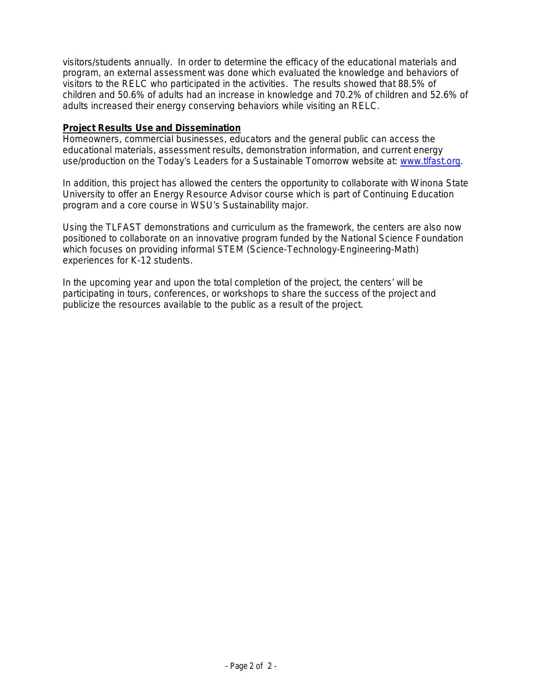visitors/students annually. In order to determine the efficacy of the educational materials and program, an external assessment was done which evaluated the knowledge and behaviors of visitors to the RELC who participated in the activities. The results showed that 88.5% of children and 50.6% of adults had an increase in knowledge and 70.2% of children and 52.6% of adults increased their energy conserving behaviors while visiting an RELC.

#### **Project Results Use and Dissemination**

Homeowners, commercial businesses, educators and the general public can access the educational materials, assessment results, demonstration information, and current energy use/production on the Today's Leaders for a Sustainable Tomorrow website at: [www.tlfast.org.](http://www.tlfast.org/)

In addition, this project has allowed the centers the opportunity to collaborate with Winona State University to offer an Energy Resource Advisor course which is part of Continuing Education program and a core course in WSU's Sustainability major.

Using the TLFAST demonstrations and curriculum as the framework, the centers are also now positioned to collaborate on an innovative program funded by the National Science Foundation which focuses on providing informal STEM (Science-Technology-Engineering-Math) experiences for K-12 students.

In the upcoming year and upon the total completion of the project, the centers' will be participating in tours, conferences, or workshops to share the success of the project and publicize the resources available to the public as a result of the project.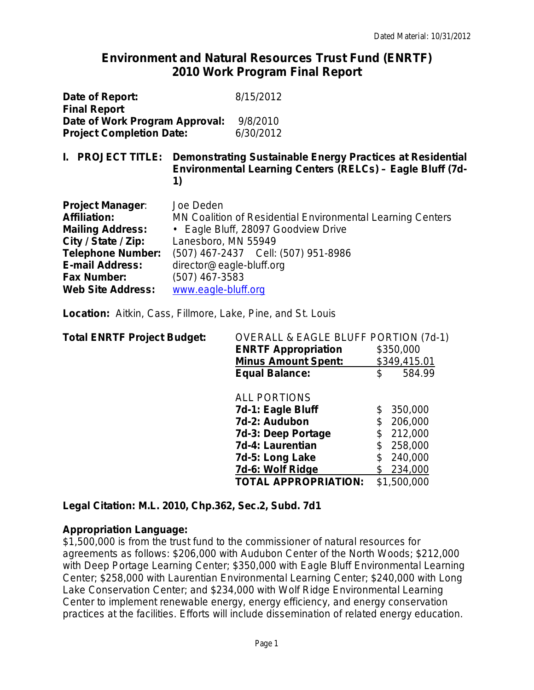# **Environment and Natural Resources Trust Fund (ENRTF) 2010 Work Program Final Report**

| Date of Report:<br><b>Final Report</b><br>Date of Work Program Approval:<br><b>Project Completion Date:</b>                                                                                              |                                                                                                       | 8/15/2012<br>9/8/2010<br>6/30/2012                                                                                                          |
|----------------------------------------------------------------------------------------------------------------------------------------------------------------------------------------------------------|-------------------------------------------------------------------------------------------------------|---------------------------------------------------------------------------------------------------------------------------------------------|
| <b>PROJECT TITLE:</b><br>L.                                                                                                                                                                              | 1)                                                                                                    | Demonstrating Sustainable Energy Practices at Residential<br>Environmental Learning Centers (RELCs) - Eagle Bluff (7d-                      |
| <b>Project Manager:</b><br><b>Affiliation:</b><br><b>Mailing Address:</b><br>City / State / Zip:<br><b>Telephone Number:</b><br><b>E-mail Address:</b><br><b>Fax Number:</b><br><b>Web Site Address:</b> | Joe Deden<br>Lanesboro, MN 55949<br>director@eagle-bluff.org<br>(507) 467-3583<br>www.eagle-bluff.org | MN Coalition of Residential Environmental Learning Centers<br>• Eagle Bluff, 28097 Goodview Drive<br>(507) 467-2437    Cell: (507) 951-8986 |

**Location:**Aitkin, Cass, Fillmore, Lake, Pine, and St. Louis

| <b>Total ENRTF Project Budget:</b> | <b>OVERALL &amp; EAGLE BLUFF PORTION (7d-1)</b> |              |
|------------------------------------|-------------------------------------------------|--------------|
|                                    | <b>ENRTF Appropriation</b>                      | \$350,000    |
|                                    | <b>Minus Amount Spent:</b>                      | \$349,415.01 |
|                                    | <b>Equal Balance:</b>                           | \$<br>584.99 |
|                                    | <b>ALL PORTIONS</b>                             |              |
|                                    | 7d-1: Eagle Bluff                               | 350,000      |
|                                    | 7d-2: Audubon                                   | 206,000      |
|                                    | 7d-3: Deep Portage                              | 212,000      |
|                                    | 7d-4: Laurentian                                | 258,000      |
|                                    | 7d-5: Long Lake                                 | 240,000      |
|                                    | 7d-6: Wolf Ridge                                | 234,000      |
|                                    | <b>TOTAL APPROPRIATION:</b>                     | \$1,500,000  |
|                                    |                                                 |              |

**Legal Citation: M.L. 2010, Chp.362, Sec.2, Subd. 7d1**

#### **Appropriation Language:**

\$1,500,000 is from the trust fund to the commissioner of natural resources for agreements as follows: \$206,000 with Audubon Center of the North Woods; \$212,000 with Deep Portage Learning Center; \$350,000 with Eagle Bluff Environmental Learning Center; \$258,000 with Laurentian Environmental Learning Center; \$240,000 with Long Lake Conservation Center; and \$234,000 with Wolf Ridge Environmental Learning Center to implement renewable energy, energy efficiency, and energy conservation practices at the facilities. Efforts will include dissemination of related energy education.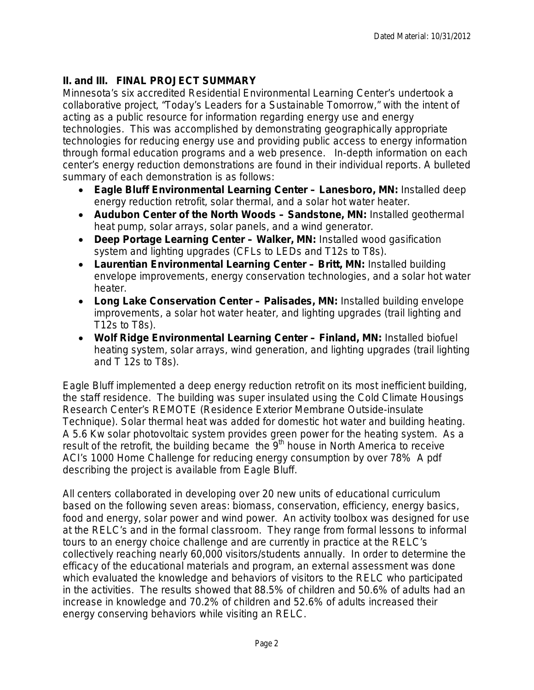# **II. and III. FINAL PROJECT SUMMARY**

Minnesota's six accredited Residential Environmental Learning Center's undertook a collaborative project, "Today's Leaders for a Sustainable Tomorrow," with the intent of acting as a public resource for information regarding energy use and energy technologies. This was accomplished by demonstrating geographically appropriate technologies for reducing energy use and providing public access to energy information through formal education programs and a web presence. In-depth information on each center's energy reduction demonstrations are found in their individual reports. A bulleted summary of each demonstration is as follows:

- **Eagle Bluff Environmental Learning Center – Lanesboro, MN:** Installed deep energy reduction retrofit, solar thermal, and a solar hot water heater.
- **Audubon Center of the North Woods – Sandstone, MN:** Installed geothermal heat pump, solar arrays, solar panels, and a wind generator.
- **Deep Portage Learning Center – Walker, MN:** Installed wood gasification system and lighting upgrades (CFLs to LEDs and T12s to T8s).
- **Laurentian Environmental Learning Center – Britt, MN:** Installed building envelope improvements, energy conservation technologies, and a solar hot water heater.
- **Long Lake Conservation Center – Palisades, MN:** Installed building envelope improvements, a solar hot water heater, and lighting upgrades (trail lighting and T12s to T8s).
- **Wolf Ridge Environmental Learning Center – Finland, MN:** Installed biofuel heating system, solar arrays, wind generation, and lighting upgrades (trail lighting and T 12s to T8s).

Eagle Bluff implemented a deep energy reduction retrofit on its most inefficient building, the staff residence. The building was super insulated using the Cold Climate Housings Research Center's REMOTE (Residence Exterior Membrane Outside-insulate Technique). Solar thermal heat was added for domestic hot water and building heating. A 5.6 Kw solar photovoltaic system provides green power for the heating system. As a result of the retrofit, the building became the  $9<sup>th</sup>$  house in North America to receive ACI's 1000 Home Challenge for reducing energy consumption by over 78% A pdf describing the project is available from Eagle Bluff.

All centers collaborated in developing over 20 new units of educational curriculum based on the following seven areas: biomass, conservation, efficiency, energy basics, food and energy, solar power and wind power. An activity toolbox was designed for use at the RELC's and in the formal classroom. They range from formal lessons to informal tours to an energy choice challenge and are currently in practice at the RELC's collectively reaching nearly 60,000 visitors/students annually. In order to determine the efficacy of the educational materials and program, an external assessment was done which evaluated the knowledge and behaviors of visitors to the RELC who participated in the activities. The results showed that 88.5% of children and 50.6% of adults had an increase in knowledge and 70.2% of children and 52.6% of adults increased their energy conserving behaviors while visiting an RELC.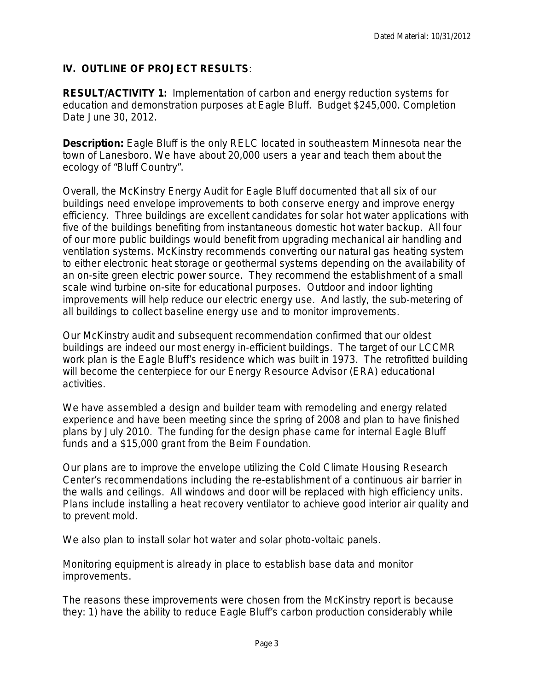# **IV. OUTLINE OF PROJECT RESULTS***:*

**RESULT/ACTIVITY 1:** Implementation of carbon and energy reduction systems for education and demonstration purposes at Eagle Bluff. Budget \$245,000. Completion Date June 30, 2012.

**Description:** Eagle Bluff is the only RELC located in southeastern Minnesota near the town of Lanesboro. We have about 20,000 users a year and teach them about the ecology of "Bluff Country".

Overall, the McKinstry Energy Audit for Eagle Bluff documented that all six of our buildings need envelope improvements to both conserve energy and improve energy efficiency. Three buildings are excellent candidates for solar hot water applications with five of the buildings benefiting from instantaneous domestic hot water backup. All four of our more public buildings would benefit from upgrading mechanical air handling and ventilation systems. McKinstry recommends converting our natural gas heating system to either electronic heat storage or geothermal systems depending on the availability of an on-site green electric power source. They recommend the establishment of a small scale wind turbine on-site for educational purposes. Outdoor and indoor lighting improvements will help reduce our electric energy use. And lastly, the sub-metering of all buildings to collect baseline energy use and to monitor improvements.

Our McKinstry audit and subsequent recommendation confirmed that our oldest buildings are indeed our most energy in-efficient buildings. The target of our LCCMR work plan is the Eagle Bluff's residence which was built in 1973. The retrofitted building will become the centerpiece for our Energy Resource Advisor (ERA) educational activities.

We have assembled a design and builder team with remodeling and energy related experience and have been meeting since the spring of 2008 and plan to have finished plans by July 2010. The funding for the design phase came for internal Eagle Bluff funds and a \$15,000 grant from the Beim Foundation.

Our plans are to improve the envelope utilizing the Cold Climate Housing Research Center's recommendations including the re-establishment of a continuous air barrier in the walls and ceilings. All windows and door will be replaced with high efficiency units. Plans include installing a heat recovery ventilator to achieve good interior air quality and to prevent mold.

We also plan to install solar hot water and solar photo-voltaic panels.

Monitoring equipment is already in place to establish base data and monitor improvements.

The reasons these improvements were chosen from the McKinstry report is because they: 1) have the ability to reduce Eagle Bluff's carbon production considerably while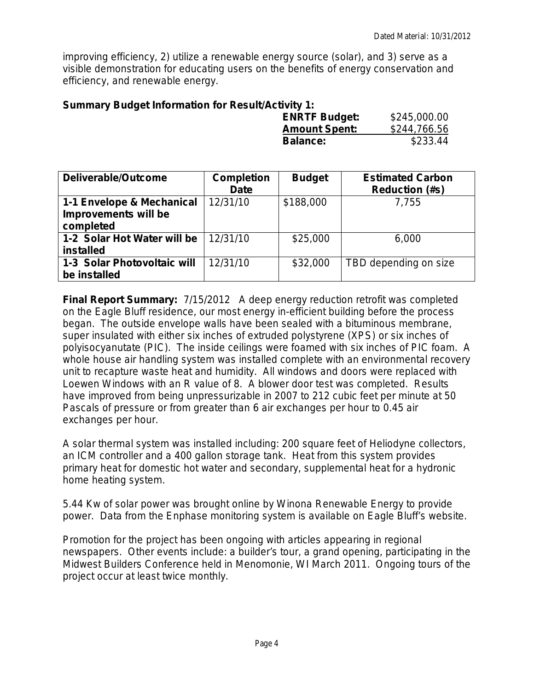improving efficiency, 2) utilize a renewable energy source (solar), and 3) serve as a visible demonstration for educating users on the benefits of energy conservation and efficiency, and renewable energy.

#### **Summary Budget Information for Result/Activity 1:**

| <b>ENRTF Budget:</b> | \$245,000.00 |
|----------------------|--------------|
| <b>Amount Spent:</b> | \$244,766.56 |
| <b>Balance:</b>      | \$233.44     |

| Deliverable/Outcome                         | <b>Completion</b><br><b>Date</b> | <b>Budget</b> | <b>Estimated Carbon</b><br><b>Reduction (#s)</b> |
|---------------------------------------------|----------------------------------|---------------|--------------------------------------------------|
| 1-1 Envelope & Mechanical                   | 12/31/10                         | \$188,000     | 7,755                                            |
| Improvements will be<br>completed           |                                  |               |                                                  |
| 1-2 Solar Hot Water will be<br>installed    | 12/31/10                         | \$25,000      | 6,000                                            |
| 1-3 Solar Photovoltaic will<br>be installed | 12/31/10                         | \$32,000      | TBD depending on size                            |

**Final Report Summary:** 7/15/2012 A deep energy reduction retrofit was completed on the Eagle Bluff residence, our most energy in-efficient building before the process began. The outside envelope walls have been sealed with a bituminous membrane, super insulated with either six inches of extruded polystyrene (XPS) or six inches of polyisocyanutate (PIC). The inside ceilings were foamed with six inches of PIC foam. A whole house air handling system was installed complete with an environmental recovery unit to recapture waste heat and humidity. All windows and doors were replaced with Loewen Windows with an R value of 8. A blower door test was completed. Results have improved from being unpressurizable in 2007 to 212 cubic feet per minute at 50 Pascals of pressure or from greater than 6 air exchanges per hour to 0.45 air exchanges per hour.

A solar thermal system was installed including: 200 square feet of Heliodyne collectors, an ICM controller and a 400 gallon storage tank. Heat from this system provides primary heat for domestic hot water and secondary, supplemental heat for a hydronic home heating system.

5.44 Kw of solar power was brought online by Winona Renewable Energy to provide power. Data from the Enphase monitoring system is available on Eagle Bluff's website.

Promotion for the project has been ongoing with articles appearing in regional newspapers. Other events include: a builder's tour, a grand opening, participating in the Midwest Builders Conference held in Menomonie, WI March 2011. Ongoing tours of the project occur at least twice monthly.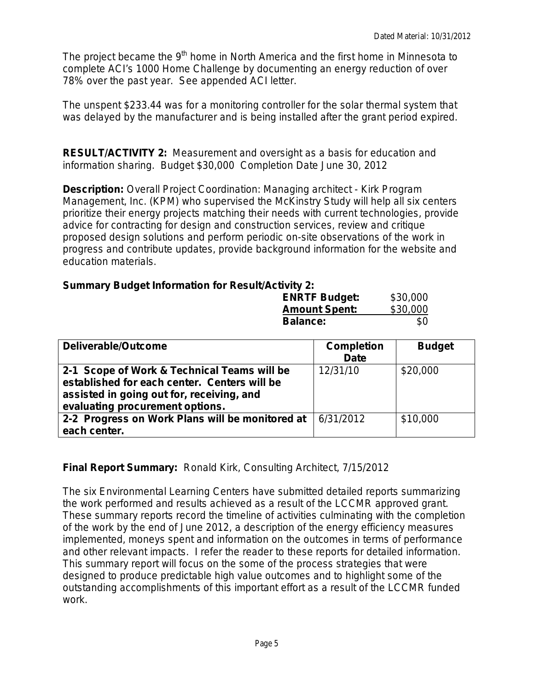The project became the 9<sup>th</sup> home in North America and the first home in Minnesota to complete ACI's 1000 Home Challenge by documenting an energy reduction of over 78% over the past year. See appended ACI letter.

The unspent \$233.44 was for a monitoring controller for the solar thermal system that was delayed by the manufacturer and is being installed after the grant period expired.

**RESULT/ACTIVITY 2:** Measurement and oversight as a basis for education and information sharing. Budget \$30,000 Completion Date June 30, 2012

**Description:** Overall Project Coordination: Managing architect - Kirk Program Management, Inc. (KPM) who supervised the McKinstry Study will help all six centers prioritize their energy projects matching their needs with current technologies, provide advice for contracting for design and construction services, review and critique proposed design solutions and perform periodic on-site observations of the work in progress and contribute updates, provide background information for the website and education materials.

# **Summary Budget Information for Result/Activity 2:**

| .<br><b>ENRTF Budget:</b> | \$30,000 |
|---------------------------|----------|
| <b>Amount Spent:</b>      | \$30,000 |
| <b>Balance:</b>           | \$0      |

| Deliverable/Outcome                             | <b>Completion</b> | <b>Budget</b> |
|-------------------------------------------------|-------------------|---------------|
|                                                 | <b>Date</b>       |               |
| 2-1 Scope of Work & Technical Teams will be     | 12/31/10          | \$20,000      |
| established for each center. Centers will be    |                   |               |
| assisted in going out for, receiving, and       |                   |               |
| evaluating procurement options.                 |                   |               |
| 2-2 Progress on Work Plans will be monitored at | 6/31/2012         | \$10,000      |
| each center.                                    |                   |               |

# **Final Report Summary:** Ronald Kirk, Consulting Architect, 7/15/2012

The six Environmental Learning Centers have submitted detailed reports summarizing the work performed and results achieved as a result of the LCCMR approved grant. These summary reports record the timeline of activities culminating with the completion of the work by the end of June 2012, a description of the energy efficiency measures implemented, moneys spent and information on the outcomes in terms of performance and other relevant impacts. I refer the reader to these reports for detailed information. This summary report will focus on the some of the process strategies that were designed to produce predictable high value outcomes and to highlight some of the outstanding accomplishments of this important effort as a result of the LCCMR funded work.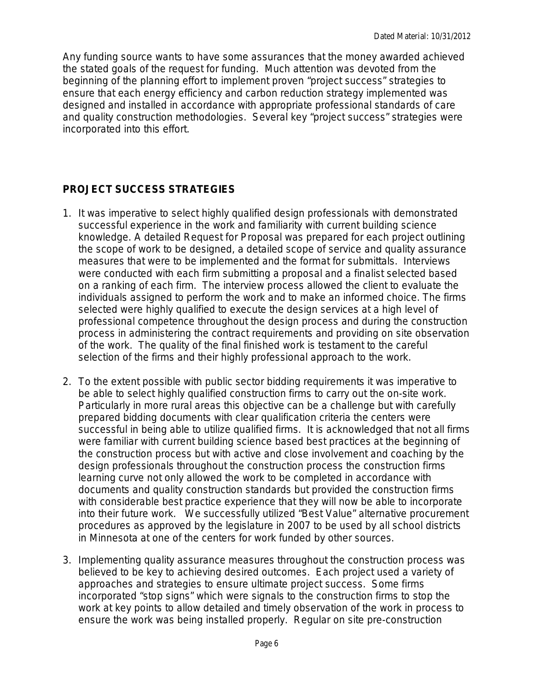Any funding source wants to have some assurances that the money awarded achieved the stated goals of the request for funding. Much attention was devoted from the beginning of the planning effort to implement proven "project success" strategies to ensure that each energy efficiency and carbon reduction strategy implemented was designed and installed in accordance with appropriate professional standards of care and quality construction methodologies. Several key "project success" strategies were incorporated into this effort.

# **PROJECT SUCCESS STRATEGIES**

- 1. It was imperative to select highly qualified design professionals with demonstrated successful experience in the work and familiarity with current building science knowledge. A detailed Request for Proposal was prepared for each project outlining the scope of work to be designed, a detailed scope of service and quality assurance measures that were to be implemented and the format for submittals. Interviews were conducted with each firm submitting a proposal and a finalist selected based on a ranking of each firm. The interview process allowed the client to evaluate the individuals assigned to perform the work and to make an informed choice. The firms selected were highly qualified to execute the design services at a high level of professional competence throughout the design process and during the construction process in administering the contract requirements and providing on site observation of the work. The quality of the final finished work is testament to the careful selection of the firms and their highly professional approach to the work.
- 2. To the extent possible with public sector bidding requirements it was imperative to be able to select highly qualified construction firms to carry out the on-site work. Particularly in more rural areas this objective can be a challenge but with carefully prepared bidding documents with clear qualification criteria the centers were successful in being able to utilize qualified firms. It is acknowledged that not all firms were familiar with current building science based best practices at the beginning of the construction process but with active and close involvement and coaching by the design professionals throughout the construction process the construction firms learning curve not only allowed the work to be completed in accordance with documents and quality construction standards but provided the construction firms with considerable best practice experience that they will now be able to incorporate into their future work. We successfully utilized "Best Value" alternative procurement procedures as approved by the legislature in 2007 to be used by all school districts in Minnesota at one of the centers for work funded by other sources.
- 3. Implementing quality assurance measures throughout the construction process was believed to be key to achieving desired outcomes. Each project used a variety of approaches and strategies to ensure ultimate project success. Some firms incorporated "stop signs" which were signals to the construction firms to stop the work at key points to allow detailed and timely observation of the work in process to ensure the work was being installed properly. Regular on site pre-construction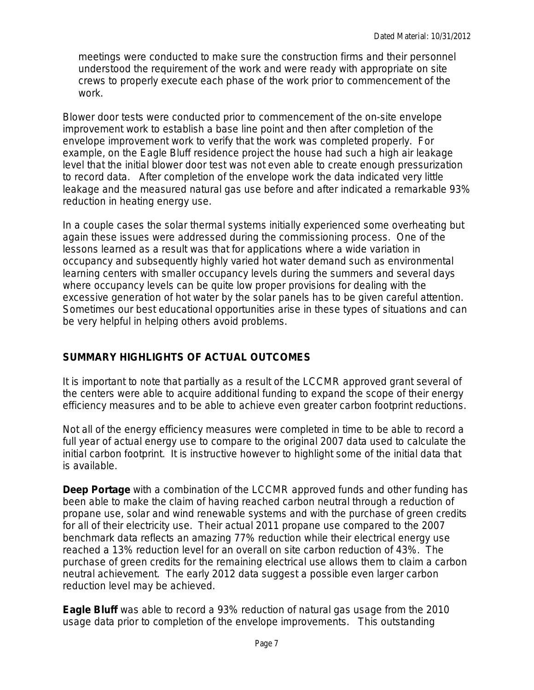meetings were conducted to make sure the construction firms and their personnel understood the requirement of the work and were ready with appropriate on site crews to properly execute each phase of the work prior to commencement of the work.

Blower door tests were conducted prior to commencement of the on-site envelope improvement work to establish a base line point and then after completion of the envelope improvement work to verify that the work was completed properly. For example, on the Eagle Bluff residence project the house had such a high air leakage level that the initial blower door test was not even able to create enough pressurization to record data. After completion of the envelope work the data indicated very little leakage and the measured natural gas use before and after indicated a remarkable 93% reduction in heating energy use.

In a couple cases the solar thermal systems initially experienced some overheating but again these issues were addressed during the commissioning process. One of the lessons learned as a result was that for applications where a wide variation in occupancy and subsequently highly varied hot water demand such as environmental learning centers with smaller occupancy levels during the summers and several days where occupancy levels can be quite low proper provisions for dealing with the excessive generation of hot water by the solar panels has to be given careful attention. Sometimes our best educational opportunities arise in these types of situations and can be very helpful in helping others avoid problems.

# **SUMMARY HIGHLIGHTS OF ACTUAL OUTCOMES**

It is important to note that partially as a result of the LCCMR approved grant several of the centers were able to acquire additional funding to expand the scope of their energy efficiency measures and to be able to achieve even greater carbon footprint reductions.

Not all of the energy efficiency measures were completed in time to be able to record a full year of actual energy use to compare to the original 2007 data used to calculate the initial carbon footprint. It is instructive however to highlight some of the initial data that is available.

**Deep Portage** with a combination of the LCCMR approved funds and other funding has been able to make the claim of having reached carbon neutral through a reduction of propane use, solar and wind renewable systems and with the purchase of green credits for all of their electricity use. Their actual 2011 propane use compared to the 2007 benchmark data reflects an amazing 77% reduction while their electrical energy use reached a 13% reduction level for an overall on site carbon reduction of 43%. The purchase of green credits for the remaining electrical use allows them to claim a carbon neutral achievement. The early 2012 data suggest a possible even larger carbon reduction level may be achieved.

**Eagle Bluff** was able to record a 93% reduction of natural gas usage from the 2010 usage data prior to completion of the envelope improvements. This outstanding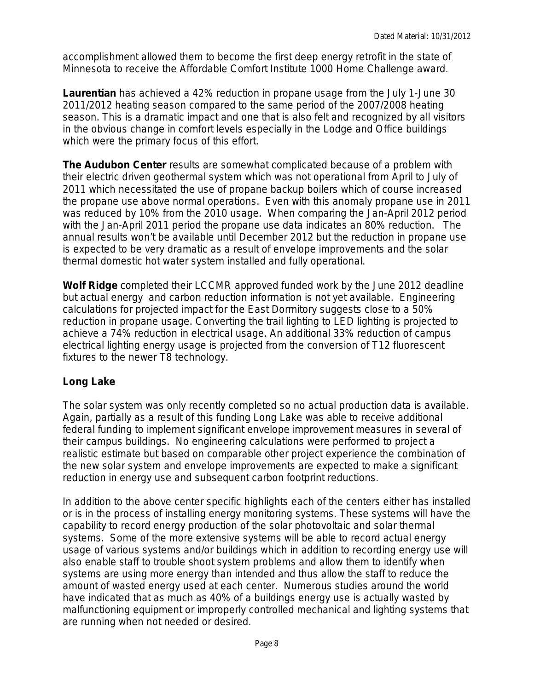accomplishment allowed them to become the first deep energy retrofit in the state of Minnesota to receive the Affordable Comfort Institute 1000 Home Challenge award.

**Laurentian** has achieved a 42% reduction in propane usage from the July 1-June 30 2011/2012 heating season compared to the same period of the 2007/2008 heating season. This is a dramatic impact and one that is also felt and recognized by all visitors in the obvious change in comfort levels especially in the Lodge and Office buildings which were the primary focus of this effort.

**The Audubon Center** results are somewhat complicated because of a problem with their electric driven geothermal system which was not operational from April to July of 2011 which necessitated the use of propane backup boilers which of course increased the propane use above normal operations. Even with this anomaly propane use in 2011 was reduced by 10% from the 2010 usage. When comparing the Jan-April 2012 period with the Jan-April 2011 period the propane use data indicates an 80% reduction. The annual results won't be available until December 2012 but the reduction in propane use is expected to be very dramatic as a result of envelope improvements and the solar thermal domestic hot water system installed and fully operational.

**Wolf Ridge** completed their LCCMR approved funded work by the June 2012 deadline but actual energy and carbon reduction information is not yet available. Engineering calculations for projected impact for the East Dormitory suggests close to a 50% reduction in propane usage. Converting the trail lighting to LED lighting is projected to achieve a 74% reduction in electrical usage. An additional 33% reduction of campus electrical lighting energy usage is projected from the conversion of T12 fluorescent fixtures to the newer T8 technology.

# **Long Lake**

The solar system was only recently completed so no actual production data is available. Again, partially as a result of this funding Long Lake was able to receive additional federal funding to implement significant envelope improvement measures in several of their campus buildings. No engineering calculations were performed to project a realistic estimate but based on comparable other project experience the combination of the new solar system and envelope improvements are expected to make a significant reduction in energy use and subsequent carbon footprint reductions.

In addition to the above center specific highlights each of the centers either has installed or is in the process of installing energy monitoring systems. These systems will have the capability to record energy production of the solar photovoltaic and solar thermal systems. Some of the more extensive systems will be able to record actual energy usage of various systems and/or buildings which in addition to recording energy use will also enable staff to trouble shoot system problems and allow them to identify when systems are using more energy than intended and thus allow the staff to reduce the amount of wasted energy used at each center. Numerous studies around the world have indicated that as much as 40% of a buildings energy use is actually wasted by malfunctioning equipment or improperly controlled mechanical and lighting systems that are running when not needed or desired.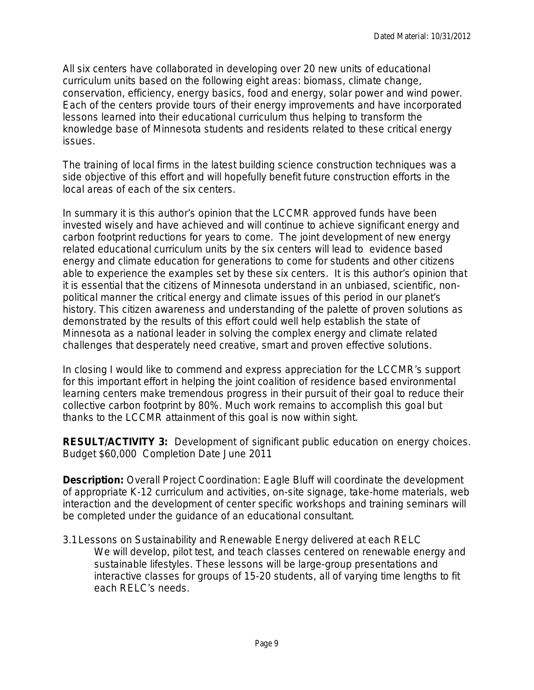All six centers have collaborated in developing over 20 new units of educational curriculum units based on the following eight areas: biomass, climate change, conservation, efficiency, energy basics, food and energy, solar power and wind power. Each of the centers provide tours of their energy improvements and have incorporated lessons learned into their educational curriculum thus helping to transform the knowledge base of Minnesota students and residents related to these critical energy issues.

The training of local firms in the latest building science construction techniques was a side objective of this effort and will hopefully benefit future construction efforts in the local areas of each of the six centers.

In summary it is this author's opinion that the LCCMR approved funds have been invested wisely and have achieved and will continue to achieve significant energy and carbon footprint reductions for years to come. The joint development of new energy related educational curriculum units by the six centers will lead to evidence based energy and climate education for generations to come for students and other citizens able to experience the examples set by these six centers. It is this author's opinion that it is essential that the citizens of Minnesota understand in an unbiased, scientific, nonpolitical manner the critical energy and climate issues of this period in our planet's history. This citizen awareness and understanding of the palette of proven solutions as demonstrated by the results of this effort could well help establish the state of Minnesota as a national leader in solving the complex energy and climate related challenges that desperately need creative, smart and proven effective solutions.

In closing I would like to commend and express appreciation for the LCCMR's support for this important effort in helping the joint coalition of residence based environmental learning centers make tremendous progress in their pursuit of their goal to reduce their collective carbon footprint by 80%. Much work remains to accomplish this goal but thanks to the LCCMR attainment of this goal is now within sight.

**RESULT/ACTIVITY 3:** Development of significant public education on energy choices. Budget \$60,000 Completion Date June 2011

**Description:** Overall Project Coordination: Eagle Bluff will coordinate the development of appropriate K-12 curriculum and activities, on-site signage, take-home materials, web interaction and the development of center specific workshops and training seminars will be completed under the guidance of an educational consultant.

*3.1Lessons on Sustainability and Renewable Energy delivered at each RELC* We will develop, pilot test, and teach classes centered on renewable energy and sustainable lifestyles. These lessons will be large-group presentations and interactive classes for groups of 15-20 students, all of varying time lengths to fit each RELC's needs.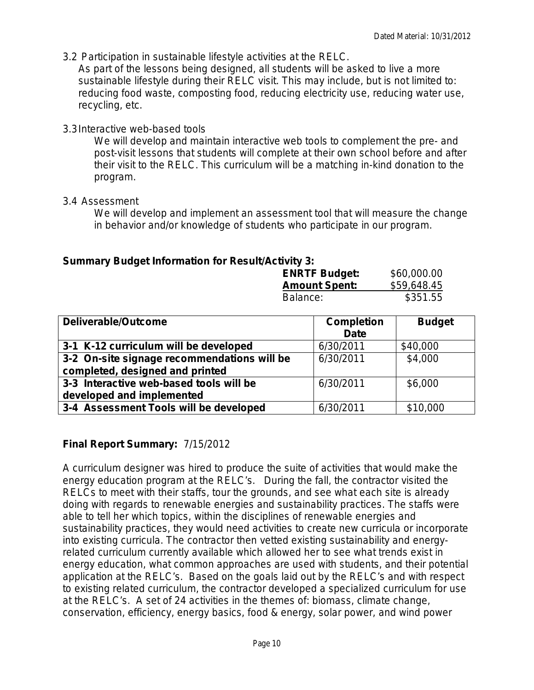3.2 *Participation in sustainable lifestyle activities at the RELC.*

As part of the lessons being designed, all students will be asked to live a more sustainable lifestyle during their RELC visit. This may include, but is not limited to: reducing food waste, composting food, reducing electricity use, reducing water use, recycling, etc.

#### 3.3*Interactive web-based tools*

We will develop and maintain interactive web tools to complement the pre- and post-visit lessons that students will complete at their own school before and after their visit to the RELC. This curriculum will be a matching in-kind donation to the program.

#### 3.4 *Assessment*

We will develop and implement an assessment tool that will measure the change in behavior and/or knowledge of students who participate in our program.

## **Summary Budget Information for Result/Activity 3:**

| <b>ENRTF Budget:</b> | \$60,000.00 |
|----------------------|-------------|
| <b>Amount Spent:</b> | \$59,648.45 |
| Balance:             | \$351.55    |

| Deliverable/Outcome                         | <b>Completion</b> | <b>Budget</b> |
|---------------------------------------------|-------------------|---------------|
|                                             | <b>Date</b>       |               |
| 3-1 K-12 curriculum will be developed       | 6/30/2011         | \$40,000      |
| 3-2 On-site signage recommendations will be | 6/30/2011         | \$4,000       |
| completed, designed and printed             |                   |               |
| 3-3 Interactive web-based tools will be     | 6/30/2011         | \$6,000       |
| developed and implemented                   |                   |               |
| 3-4 Assessment Tools will be developed      | 6/30/2011         | \$10,000      |

# **Final Report Summary:** 7/15/2012

A curriculum designer was hired to produce the suite of activities that would make the energy education program at the RELC's. During the fall, the contractor visited the RELCs to meet with their staffs, tour the grounds, and see what each site is already doing with regards to renewable energies and sustainability practices. The staffs were able to tell her which topics, within the disciplines of renewable energies and sustainability practices, they would need activities to create new curricula or incorporate into existing curricula. The contractor then vetted existing sustainability and energyrelated curriculum currently available which allowed her to see what trends exist in energy education, what common approaches are used with students, and their potential application at the RELC's. Based on the goals laid out by the RELC's and with respect to existing related curriculum, the contractor developed a specialized curriculum for use at the RELC's. A set of 24 activities in the themes of: biomass, climate change, conservation, efficiency, energy basics, food & energy, solar power, and wind power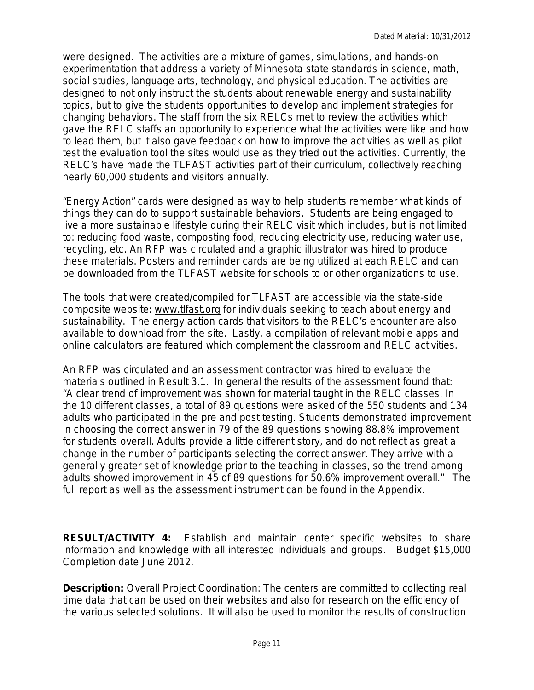were designed. The activities are a mixture of games, simulations, and hands-on experimentation that address a variety of Minnesota state standards in science, math, social studies, language arts, technology, and physical education. The activities are designed to not only instruct the students about renewable energy and sustainability topics, but to give the students opportunities to develop and implement strategies for changing behaviors. The staff from the six RELCs met to review the activities which gave the RELC staffs an opportunity to experience what the activities were like and how to lead them, but it also gave feedback on how to improve the activities as well as pilot test the evaluation tool the sites would use as they tried out the activities. Currently, the RELC's have made the TLFAST activities part of their curriculum, collectively reaching nearly 60,000 students and visitors annually.

"Energy Action" cards were designed as way to help students remember what kinds of things they can do to support sustainable behaviors. Students are being engaged to live a more sustainable lifestyle during their RELC visit which includes, but is not limited to: reducing food waste, composting food, reducing electricity use, reducing water use, recycling, etc. An RFP was circulated and a graphic illustrator was hired to produce these materials. Posters and reminder cards are being utilized at each RELC and can be downloaded from the TLFAST website for schools to or other organizations to use.

The tools that were created/compiled for TLFAST are accessible via the state-side composite website: [www.tlfast.org](http://www.tlfast.org/) for individuals seeking to teach about energy and sustainability. The energy action cards that visitors to the RELC's encounter are also available to download from the site. Lastly, a compilation of relevant mobile apps and online calculators are featured which complement the classroom and RELC activities.

An RFP was circulated and an assessment contractor was hired to evaluate the materials outlined in Result 3.1. In general the results of the assessment found that: "A clear trend of improvement was shown for material taught in the RELC classes. In the 10 different classes, a total of 89 questions were asked of the 550 students and 134 adults who participated in the pre and post testing. Students demonstrated improvement in choosing the correct answer in 79 of the 89 questions showing 88.8% improvement for students overall. Adults provide a little different story, and do not reflect as great a change in the number of participants selecting the correct answer. They arrive with a generally greater set of knowledge prior to the teaching in classes, so the trend among adults showed improvement in 45 of 89 questions for 50.6% improvement overall." The full report as well as the assessment instrument can be found in the Appendix.

**RESULT/ACTIVITY 4:** Establish and maintain center specific websites to share information and knowledge with all interested individuals and groups. Budget \$15,000 Completion date June 2012.

**Description:** Overall Project Coordination: The centers are committed to collecting real time data that can be used on their websites and also for research on the efficiency of the various selected solutions. It will also be used to monitor the results of construction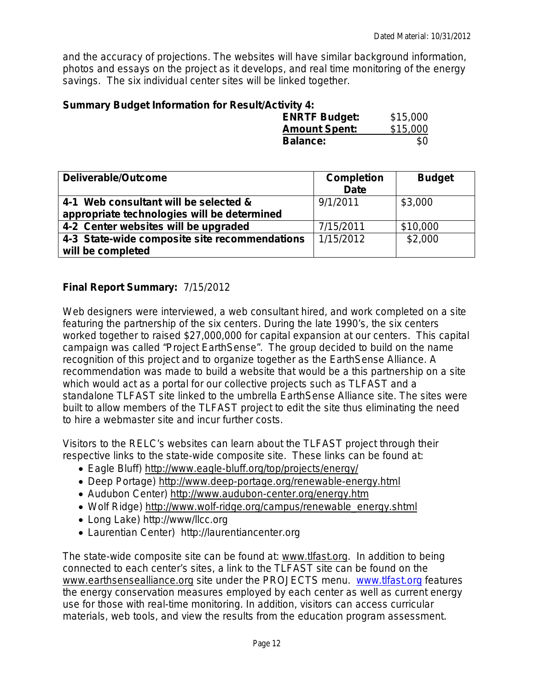and the accuracy of projections. The websites will have similar background information, photos and essays on the project as it develops, and real time monitoring of the energy savings. The six individual center sites will be linked together.

#### **Summary Budget Information for Result/Activity 4:**

| <b>ENRTF Budget:</b> | \$15,000 |
|----------------------|----------|
| <b>Amount Spent:</b> | \$15,000 |
| <b>Balance:</b>      | \$0      |

| <b>Deliverable/Outcome</b>                                                           | <b>Completion</b><br><b>Date</b> | <b>Budget</b> |
|--------------------------------------------------------------------------------------|----------------------------------|---------------|
| 4-1 Web consultant will be selected &<br>appropriate technologies will be determined | 9/1/2011                         | \$3,000       |
| 4-2 Center websites will be upgraded                                                 | 7/15/2011                        | \$10,000      |
| 4-3 State-wide composite site recommendations                                        | 1/15/2012                        | \$2,000       |
| will be completed                                                                    |                                  |               |

## **Final Report Summary:** 7/15/2012

Web designers were interviewed, a web consultant hired, and work completed on a site featuring the partnership of the six centers. During the late 1990's, the six centers worked together to raised \$27,000,000 for capital expansion at our centers. This capital campaign was called "Project EarthSense". The group decided to build on the name recognition of this project and to organize together as the EarthSense Alliance. A recommendation was made to build a website that would be a this partnership on a site which would act as a portal for our collective projects such as TLFAST and a standalone TLFAST site linked to the umbrella EarthSense Alliance site. The sites were built to allow members of the TLFAST project to edit the site thus eliminating the need to hire a webmaster site and incur further costs.

Visitors to the RELC's websites can learn about the TLFAST project through their respective links to the state-wide composite site. These links can be found at:

- Eagle Bluff)<http://www.eagle-bluff.org/top/projects/energy/>
- Deep Portage)<http://www.deep-portage.org/renewable-energy.html>
- Audubon Center)<http://www.audubon-center.org/energy.htm>
- Wolf Ridge) [http://www.wolf-ridge.org/campus/renewable\\_energy.shtml](http://www.wolf-ridge.org/campus/renewable_energy.shtml)
- Long Lake) http://www/llcc.org
- Laurentian Center) http://laurentiancenter.org

The state-wide composite site can be found at: [www.tlfast.org.](http://www.tlfast.org/) In addition to being connected to each center's sites, a link to the TLFAST site can be found on the [www.earthsensealliance.org](http://www.earthsensealliance.org/) site under the PROJECTS menu. [www.tlfast.org](http://www.tlfast.org/) features the energy conservation measures employed by each center as well as current energy use for those with real-time monitoring. In addition, visitors can access curricular materials, web tools, and view the results from the education program assessment.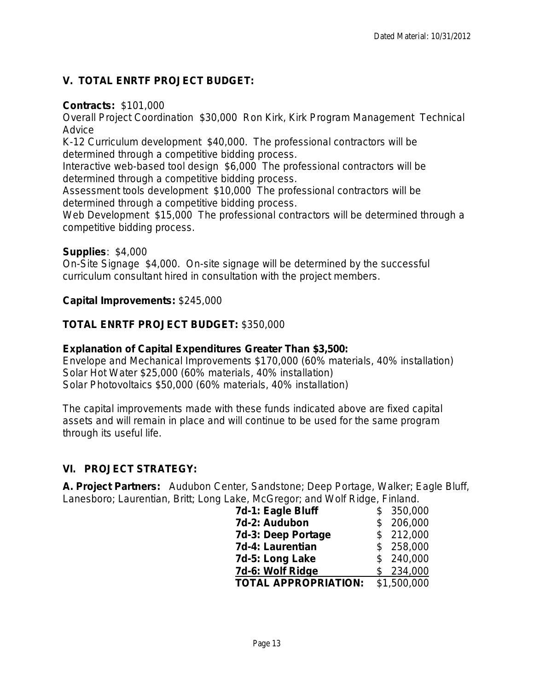# **V. TOTAL ENRTF PROJECT BUDGET:**

#### **Contracts:** \$101,000

Overall Project Coordination \$30,000 Ron Kirk, Kirk Program Management Technical **Advice** 

K-12 Curriculum development \$40,000. The professional contractors will be determined through a competitive bidding process.

Interactive web-based tool design \$6,000 The professional contractors will be determined through a competitive bidding process.

Assessment tools development \$10,000 The professional contractors will be determined through a competitive bidding process.

Web Development \$15,000 The professional contractors will be determined through a competitive bidding process.

#### **Supplies**: \$4,000

On-Site Signage \$4,000. On-site signage will be determined by the successful curriculum consultant hired in consultation with the project members.

#### **Capital Improvements:** \$245,000

## **TOTAL ENRTF PROJECT BUDGET:** \$350,000

#### **Explanation of Capital Expenditures Greater Than \$3,500:**

Envelope and Mechanical Improvements \$170,000 (60% materials, 40% installation) Solar Hot Water \$25,000 (60% materials, 40% installation) Solar Photovoltaics \$50,000 (60% materials, 40% installation)

The capital improvements made with these funds indicated above are fixed capital assets and will remain in place and will continue to be used for the same program through its useful life.

#### **VI. PROJECT STRATEGY:**

**A. Project Partners:** Audubon Center, Sandstone; Deep Portage, Walker; Eagle Bluff, Lanesboro; Laurentian, Britt; Long Lake, McGregor; and Wolf Ridge, Finland.

| 7d-1: Eagle Bluff           | \$<br>350,000 |
|-----------------------------|---------------|
| 7d-2: Audubon               | \$<br>206,000 |
| 7d-3: Deep Portage          | \$212,000     |
| 7d-4: Laurentian            | \$258,000     |
| 7d-5: Long Lake             | \$240,000     |
| 7d-6: Wolf Ridge            | \$234,000     |
| <b>TOTAL APPROPRIATION:</b> | \$1,500,000   |
|                             |               |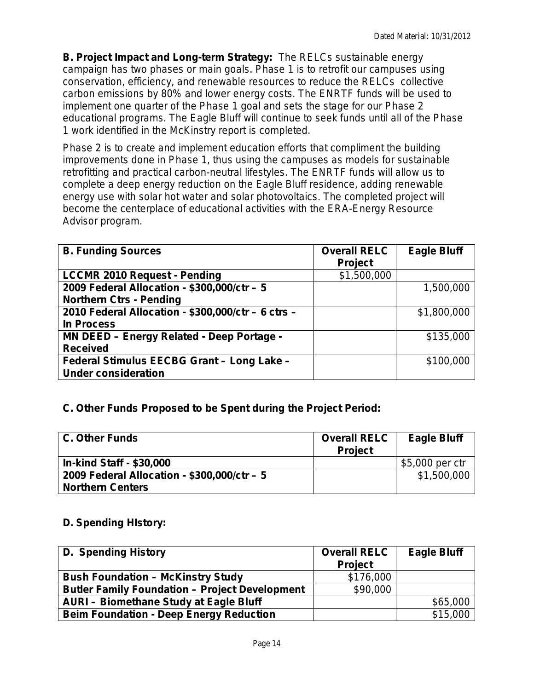**B. Project Impact and Long-term Strategy:** The RELCs sustainable energy campaign has two phases or main goals. Phase 1 is to retrofit our campuses using conservation, efficiency, and renewable resources to reduce the RELCs collective carbon emissions by 80% and lower energy costs. The ENRTF funds will be used to implement one quarter of the Phase 1 goal and sets the stage for our Phase 2 educational programs. The Eagle Bluff will continue to seek funds until all of the Phase 1 work identified in the McKinstry report is completed.

Phase 2 is to create and implement education efforts that compliment the building improvements done in Phase 1, thus using the campuses as models for sustainable retrofitting and practical carbon-neutral lifestyles. The ENRTF funds will allow us to complete a deep energy reduction on the Eagle Bluff residence, adding renewable energy use with solar hot water and solar photovoltaics. The completed project will become the centerplace of educational activities with the ERA-Energy Resource Advisor program.

| <b>B. Funding Sources</b>                          | <b>Overall RELC</b> | <b>Eagle Bluff</b> |
|----------------------------------------------------|---------------------|--------------------|
|                                                    | <b>Project</b>      |                    |
| <b>LCCMR 2010 Request - Pending</b>                | \$1,500,000         |                    |
| 2009 Federal Allocation - \$300,000/ctr - 5        |                     | 1,500,000          |
| <b>Northern Ctrs - Pending</b>                     |                     |                    |
| 2010 Federal Allocation - \$300,000/ctr - 6 ctrs - |                     | \$1,800,000        |
| <b>In Process</b>                                  |                     |                    |
| MN DEED - Energy Related - Deep Portage -          |                     | \$135,000          |
| <b>Received</b>                                    |                     |                    |
| Federal Stimulus EECBG Grant - Long Lake -         |                     | \$100,000          |
| <b>Under consideration</b>                         |                     |                    |

# **C. Other Funds Proposed to be Spent during the Project Period:**

| <b>C. Other Funds</b>                       | <b>Overall RELC</b><br><b>Project</b> | <b>Eagle Bluff</b> |
|---------------------------------------------|---------------------------------------|--------------------|
| <b>In-kind Staff - \$30,000</b>             |                                       | \$5,000 per ctr    |
| 2009 Federal Allocation - \$300,000/ctr - 5 |                                       | \$1,500,000        |
| <b>Northern Centers</b>                     |                                       |                    |

#### **D. Spending HIstory:**

| D. Spending History                                   | <b>Overall RELC</b><br><b>Project</b> | <b>Eagle Bluff</b> |
|-------------------------------------------------------|---------------------------------------|--------------------|
| <b>Bush Foundation - McKinstry Study</b>              | \$176,000                             |                    |
| <b>Butler Family Foundation - Project Development</b> | \$90,000                              |                    |
| <b>AURI - Biomethane Study at Eagle Bluff</b>         |                                       | \$65,000           |
| <b>Beim Foundation - Deep Energy Reduction</b>        |                                       | \$15,000           |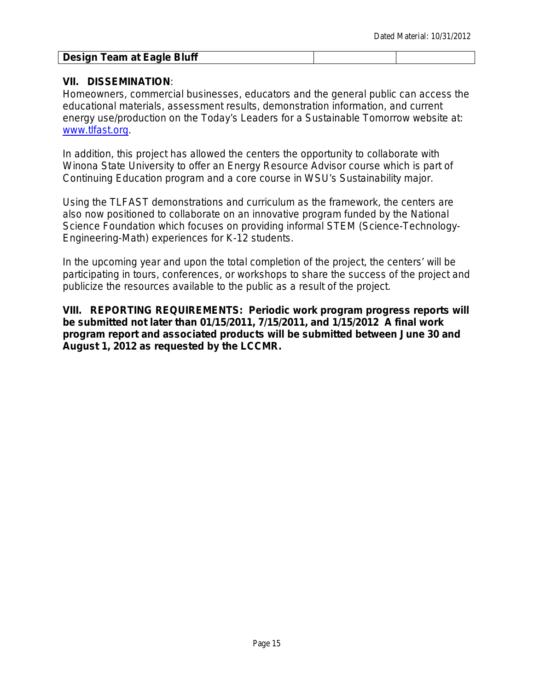# **Design Team at Eagle Bluff**

#### **VII. DISSEMINATION**:

Homeowners, commercial businesses, educators and the general public can access the educational materials, assessment results, demonstration information, and current energy use/production on the Today's Leaders for a Sustainable Tomorrow website at: [www.tlfast.org.](http://www.tlfast.org/)

In addition, this project has allowed the centers the opportunity to collaborate with Winona State University to offer an Energy Resource Advisor course which is part of Continuing Education program and a core course in WSU's Sustainability major.

Using the TLFAST demonstrations and curriculum as the framework, the centers are also now positioned to collaborate on an innovative program funded by the National Science Foundation which focuses on providing informal STEM (Science-Technology-Engineering-Math) experiences for K-12 students.

In the upcoming year and upon the total completion of the project, the centers' will be participating in tours, conferences, or workshops to share the success of the project and publicize the resources available to the public as a result of the project.

**VIII. REPORTING REQUIREMENTS: Periodic work program progress reports will be submitted not later than 01/15/2011, 7/15/2011, and 1/15/2012 A final work program report and associated products will be submitted between June 30 and August 1, 2012 as requested by the LCCMR.**